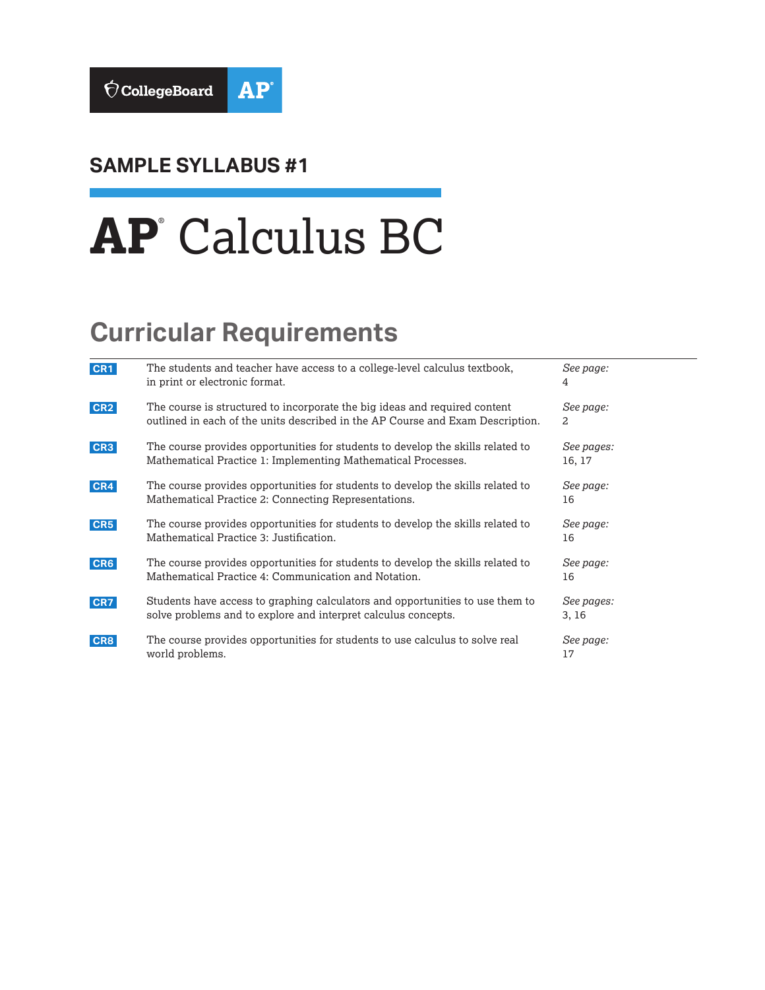

## **SAMPLE SYLLABUS #1**

# **AP**® Calculus BC

# **Curricular Requirements**

| CR1             | The students and teacher have access to a college-level calculus textbook,<br>in print or electronic format.                                                 | See page:<br>4       |
|-----------------|--------------------------------------------------------------------------------------------------------------------------------------------------------------|----------------------|
| CR <sub>2</sub> | The course is structured to incorporate the big ideas and required content<br>outlined in each of the units described in the AP Course and Exam Description. | See page:<br>2       |
| CR <sub>3</sub> | The course provides opportunities for students to develop the skills related to<br>Mathematical Practice 1: Implementing Mathematical Processes.             | See pages:<br>16, 17 |
| CR4             | The course provides opportunities for students to develop the skills related to<br>Mathematical Practice 2: Connecting Representations.                      | See page:<br>16      |
| CR5             | The course provides opportunities for students to develop the skills related to<br>Mathematical Practice 3: Justification.                                   | See page:<br>16      |
| CR6             | The course provides opportunities for students to develop the skills related to<br>Mathematical Practice 4: Communication and Notation.                      | See page:<br>16      |
| CR7             | Students have access to graphing calculators and opportunities to use them to<br>solve problems and to explore and interpret calculus concepts.              | See pages:<br>3, 16  |
| CR8             | The course provides opportunities for students to use calculus to solve real<br>world problems.                                                              | See page:<br>17      |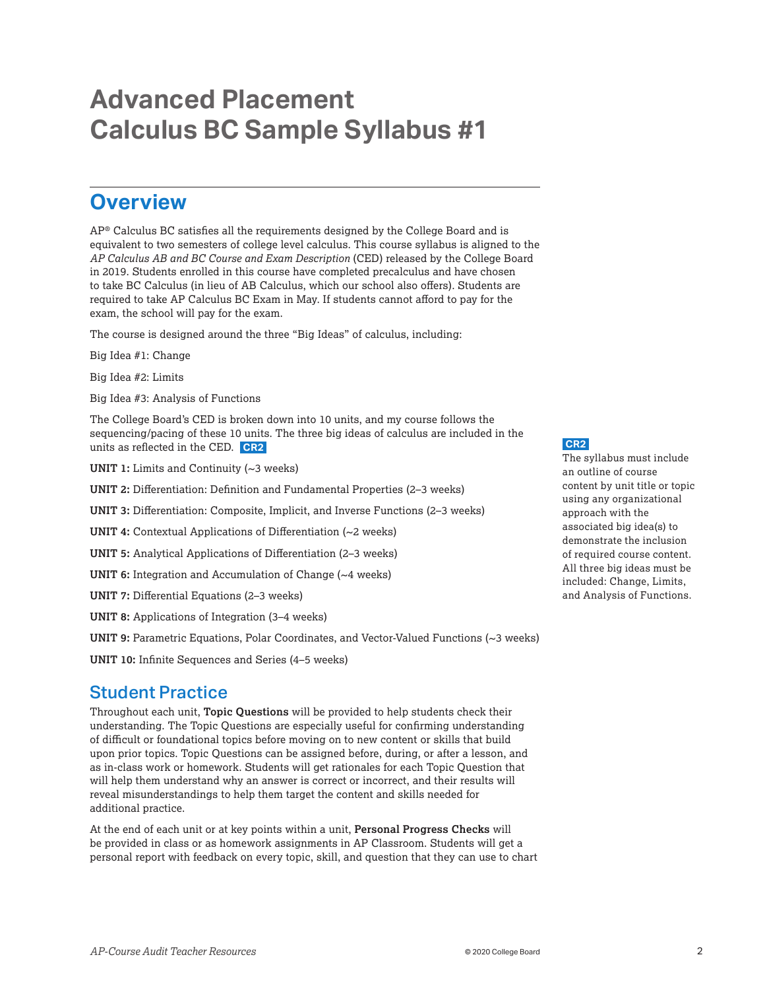## <span id="page-1-0"></span>**Advanced Placement Calculus BC Sample Syllabus #1**

## **Overview**

AP® Calculus BC satisfies all the requirements designed by the College Board and is equivalent to two semesters of college level calculus. This course syllabus is aligned to the *AP Calculus AB and BC Course and Exam Description* (CED) released by the College Board in 2019. Students enrolled in this course have completed precalculus and have chosen to take BC Calculus (in lieu of AB Calculus, which our school also offers). Students are required to take AP Calculus BC Exam in May. If students cannot afford to pay for the exam, the school will pay for the exam.

The course is designed around the three "Big Ideas" of calculus, including:

Big Idea #1: Change

Big Idea #2: Limits

Big Idea #3: Analysis of Functions

The College Board's CED is broken down into 10 units, and my course follows the sequencing/pacing of these 10 units. The three big ideas of calculus are included in the units as reflected in the CED. **CR2** 

**UNIT 1:** Limits and Continuity (~3 weeks)

**UNIT 2:** Differentiation: Definition and Fundamental Properties (2–3 weeks)

**UNIT 3:** Differentiation: Composite, Implicit, and Inverse Functions (2–3 weeks)

- **UNIT 4:** Contextual Applications of Differentiation (~2 weeks)
- **UNIT 5:** Analytical Applications of Differentiation (2–3 weeks)
- **UNIT 6:** Integration and Accumulation of Change (~4 weeks)

**UNIT 7:** Differential Equations (2–3 weeks)

**UNIT 8:** Applications of Integration (3–4 weeks)

UNIT 9: Parametric Equations, Polar Coordinates, and Vector-Valued Functions (~3 weeks)

**UNIT 10:** Infinite Sequences and Series (4–5 weeks)

## Student Practice

Throughout each unit, **Topic Questions** will be provided to help students check their understanding. The Topic Questions are especially useful for confirming understanding of difficult or foundational topics before moving on to new content or skills that build upon prior topics. Topic Questions can be assigned before, during, or after a lesson, and as in-class work or homework. Students will get rationales for each Topic Question that will help them understand why an answer is correct or incorrect, and their results will reveal misunderstandings to help them target the content and skills needed for additional practice.

At the end of each unit or at key points within a unit, **Personal Progress Checks** will be provided in class or as homework assignments in AP Classroom. Students will get a personal report with feedback on every topic, skill, and question that they can use to chart **CR2** 

The syllabus must include an outline of course content by unit title or topic using any organizational approach with the associated big idea(s) to demonstrate the inclusion of required course content. All three big ideas must be included: Change, Limits, and Analysis of Functions.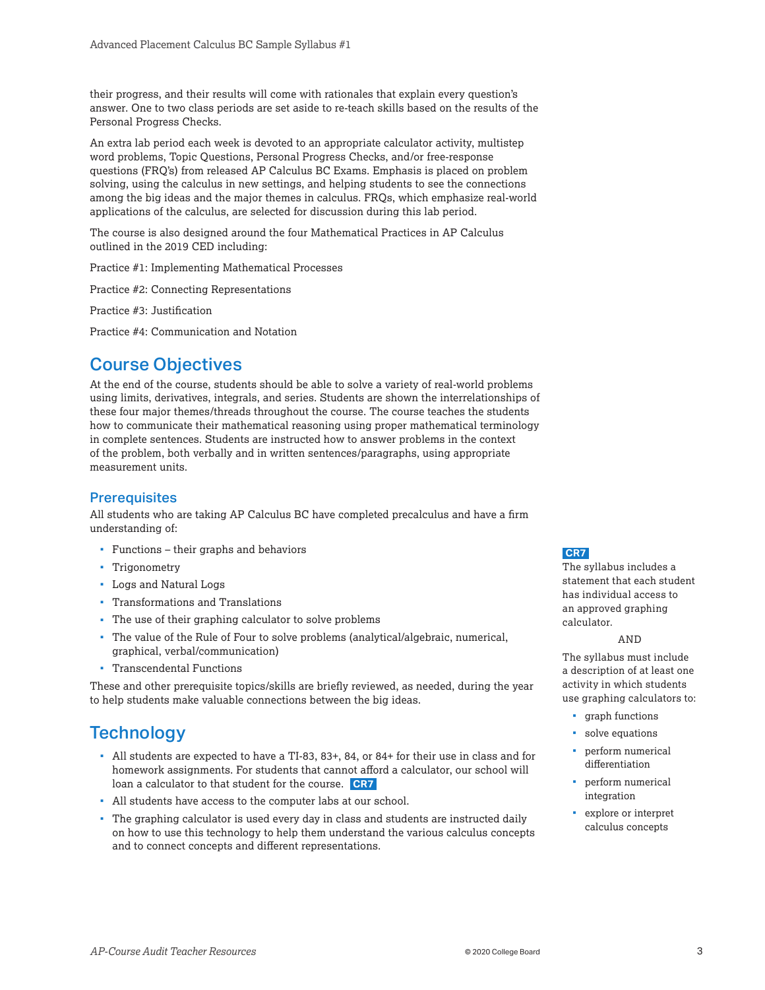<span id="page-2-0"></span>their progress, and their results will come with rationales that explain every question's answer. One to two class periods are set aside to re-teach skills based on the results of the Personal Progress Checks.

An extra lab period each week is devoted to an appropriate calculator activity, multistep word problems, Topic Questions, Personal Progress Checks, and/or free-response questions (FRQ's) from released AP Calculus BC Exams. Emphasis is placed on problem solving, using the calculus in new settings, and helping students to see the connections among the big ideas and the major themes in calculus. FRQs, which emphasize real-world applications of the calculus, are selected for discussion during this lab period.

The course is also designed around the four Mathematical Practices in AP Calculus outlined in the 2019 CED including:

Practice #1: Implementing Mathematical Processes

Practice #2: Connecting Representations

Practice #3: Justification

Practice #4: Communication and Notation

## Course Objectives

At the end of the course, students should be able to solve a variety of real-world problems using limits, derivatives, integrals, and series. Students are shown the interrelationships of these four major themes/threads throughout the course. The course teaches the students how to communicate their mathematical reasoning using proper mathematical terminology in complete sentences. Students are instructed how to answer problems in the context of the problem, both verbally and in written sentences/paragraphs, using appropriate measurement units.

## **Prerequisites**

All students who are taking AP Calculus BC have completed precalculus and have a firm understanding of:

- Functions their graphs and behaviors
- Trigonometry
- Logs and Natural Logs
- Transformations and Translations
- The use of their graphing calculator to solve problems
- The value of the Rule of Four to solve problems (analytical/algebraic, numerical, graphical, verbal/communication)
- **Transcendental Functions**

These and other prerequisite topics/skills are briefly reviewed, as needed, during the year to help students make valuable connections between the big ideas.

## **Technology**

- All students are expected to have a TI-83, 83+, 84, or 84+ for their use in class and for homework assignments. For students that cannot afford a calculator, our school will loan a calculator to that student for the course. **CR7**
- All students have access to the computer labs at our school.
- The graphing calculator is used every day in class and students are instructed daily on how to use this technology to help them understand the various calculus concepts and to connect concepts and different representations.

## **CR7**

The syllabus includes a statement that each student has individual access to an approved graphing calculator.

#### AND

The syllabus must include a description of at least one activity in which students use graphing calculators to:

- graph functions
- solve equations
- perform numerical differentiation
- **perform numerical** integration
- explore or interpret calculus concepts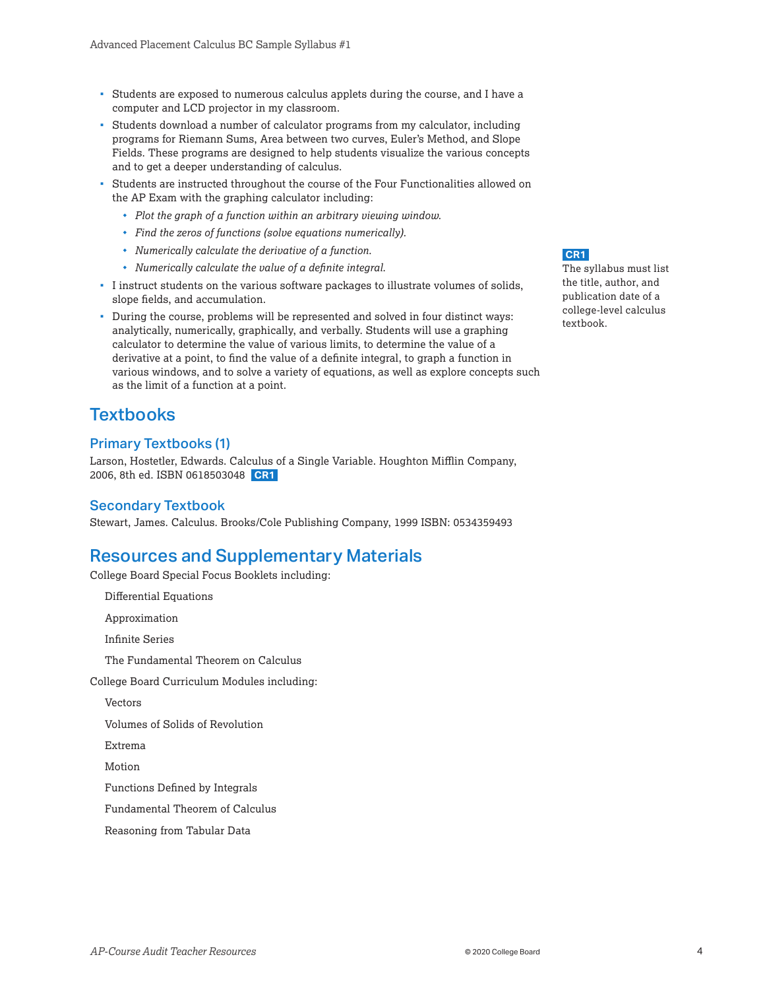- <span id="page-3-0"></span> Students are exposed to numerous calculus applets during the course, and I have a computer and LCD projector in my classroom.
- Students download a number of calculator programs from my calculator, including programs for Riemann Sums, Area between two curves, Euler's Method, and Slope Fields. These programs are designed to help students visualize the various concepts and to get a deeper understanding of calculus.
- Students are instructed throughout the course of the Four Functionalities allowed on the AP Exam with the graphing calculator including:
	- *Plot the graph of a function within an arbitrary viewing window.*
	- *Find the zeros of functions (solve equations numerically).*
	- *Numerically calculate the derivative of a function.*
	- *Numerically calculate the value of a definite integral.*
- I instruct students on the various software packages to illustrate volumes of solids, slope fields, and accumulation.
- During the course, problems will be represented and solved in four distinct ways: analytically, numerically, graphically, and verbally. Students will use a graphing calculator to determine the value of various limits, to determine the value of a derivative at a point, to find the value of a definite integral, to graph a function in various windows, and to solve a variety of equations, as well as explore concepts such as the limit of a function at a point.

## **Textbooks**

## Primary Textbooks (1)

Larson, Hostetler, Edwards. Calculus of a Single Variable. Houghton Mifflin Company, 2006, 8th ed. ISBN 0618503048 **CR1** 

## Secondary Textbook

Stewart, James. Calculus. Brooks/Cole Publishing Company, 1999 ISBN: 0534359493

## Resources and Supplementary Materials

College Board Special Focus Booklets including:

Differential Equations

Approximation

Infinite Series

The Fundamental Theorem on Calculus

College Board Curriculum Modules including:

Vectors

Volumes of Solids of Revolution

Extrema

Motion

Functions Defined by Integrals

Fundamental Theorem of Calculus

Reasoning from Tabular Data

**CR1** 

The syllabus must list the title, author, and publication date of a college-level calculus textbook.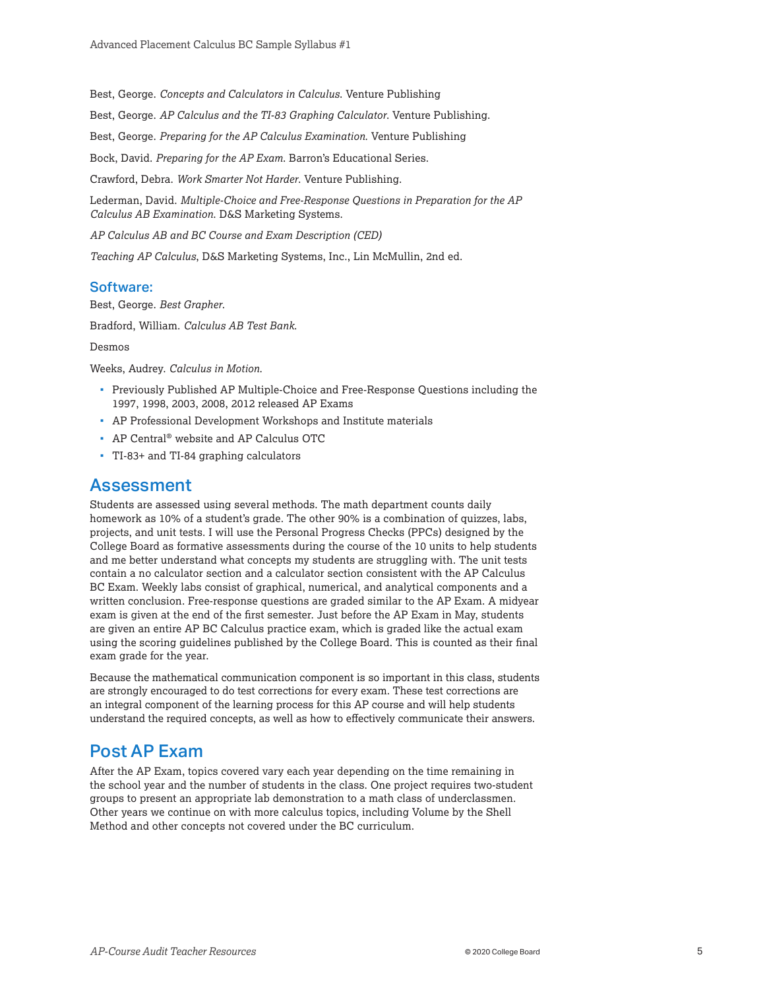Best, George. *Concepts and Calculators in Calculus*. Venture Publishing

Best, George. *AP Calculus and the TI-83 Graphing Calculator*. Venture Publishing.

Best, George. *Preparing for the AP Calculus Examination*. Venture Publishing

Bock, David. *Preparing for the AP Exam*. Barron's Educational Series.

Crawford, Debra. *Work Smarter Not Harder*. Venture Publishing.

Lederman, David. *Multiple-Choice and Free-Response Questions in Preparation for the AP Calculus AB Examination*. D&S Marketing Systems.

*AP Calculus AB and BC Course and Exam Description (CED)* 

*Teaching AP Calculus*, D&S Marketing Systems, Inc., Lin McMullin, 2nd ed.

#### Software:

Best, George. *Best Grapher*.

Bradford, William. *Calculus AB Test Bank*.

Desmos

Weeks, Audrey. *Calculus in Motion*.

- **Previously Published AP Multiple-Choice and Free-Response Questions including the** 1997, 1998, 2003, 2008, 2012 released AP Exams
- AP Professional Development Workshops and Institute materials
- AP Central® website and AP Calculus OTC
- TI-83+ and TI-84 graphing calculators

## Assessment

Students are assessed using several methods. The math department counts daily homework as 10% of a student's grade. The other 90% is a combination of quizzes, labs, projects, and unit tests. I will use the Personal Progress Checks (PPCs) designed by the College Board as formative assessments during the course of the 10 units to help students and me better understand what concepts my students are struggling with. The unit tests contain a no calculator section and a calculator section consistent with the AP Calculus BC Exam. Weekly labs consist of graphical, numerical, and analytical components and a written conclusion. Free-response questions are graded similar to the AP Exam. A midyear exam is given at the end of the first semester. Just before the AP Exam in May, students are given an entire AP BC Calculus practice exam, which is graded like the actual exam using the scoring guidelines published by the College Board. This is counted as their final exam grade for the year.

Because the mathematical communication component is so important in this class, students are strongly encouraged to do test corrections for every exam. These test corrections are an integral component of the learning process for this AP course and will help students understand the required concepts, as well as how to effectively communicate their answers.

## Post AP Exam

After the AP Exam, topics covered vary each year depending on the time remaining in the school year and the number of students in the class. One project requires two-student groups to present an appropriate lab demonstration to a math class of underclassmen. Other years we continue on with more calculus topics, including Volume by the Shell Method and other concepts not covered under the BC curriculum.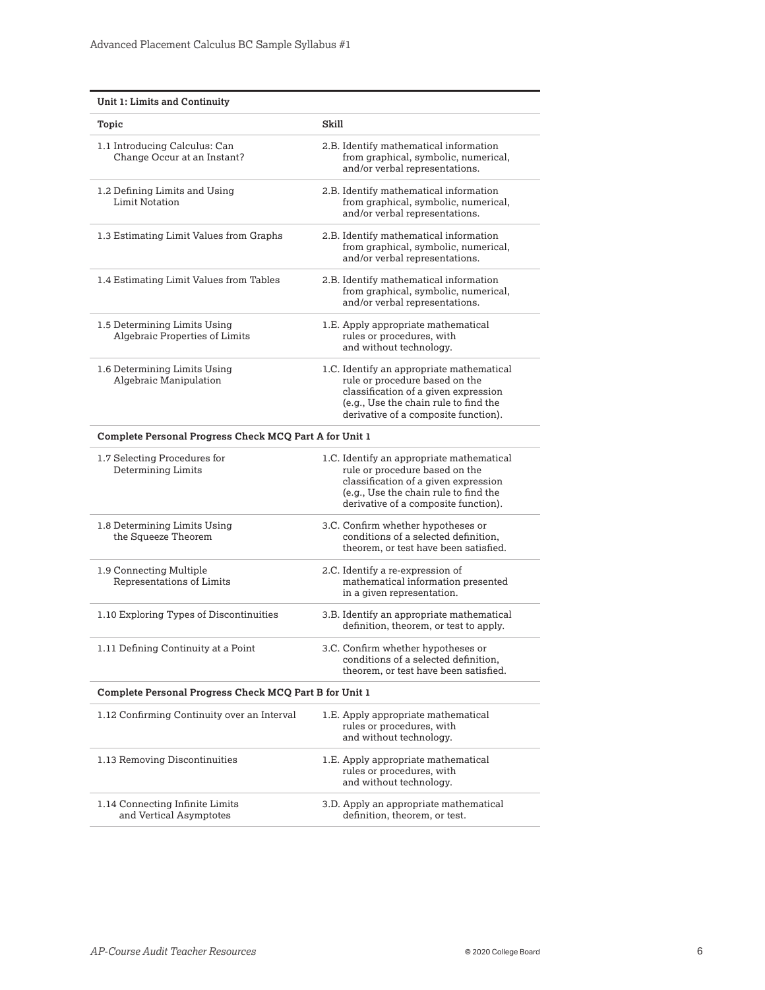| Unit 1: Limits and Continuity                                  |                                                                                                                                                                                                      |  |
|----------------------------------------------------------------|------------------------------------------------------------------------------------------------------------------------------------------------------------------------------------------------------|--|
| Topic                                                          | Skill                                                                                                                                                                                                |  |
| 1.1 Introducing Calculus: Can<br>Change Occur at an Instant?   | 2.B. Identify mathematical information<br>from graphical, symbolic, numerical,<br>and/or verbal representations.                                                                                     |  |
| 1.2 Defining Limits and Using<br><b>Limit Notation</b>         | 2.B. Identify mathematical information<br>from graphical, symbolic, numerical,<br>and/or verbal representations.                                                                                     |  |
| 1.3 Estimating Limit Values from Graphs                        | 2.B. Identify mathematical information<br>from graphical, symbolic, numerical,<br>and/or verbal representations.                                                                                     |  |
| 1.4 Estimating Limit Values from Tables                        | 2.B. Identify mathematical information<br>from graphical, symbolic, numerical,<br>and/or verbal representations.                                                                                     |  |
| 1.5 Determining Limits Using<br>Algebraic Properties of Limits | 1.E. Apply appropriate mathematical<br>rules or procedures, with<br>and without technology.                                                                                                          |  |
| 1.6 Determining Limits Using<br>Algebraic Manipulation         | 1.C. Identify an appropriate mathematical<br>rule or procedure based on the<br>classification of a given expression<br>(e.g., Use the chain rule to find the<br>derivative of a composite function). |  |
| Complete Personal Progress Check MCQ Part A for Unit 1         |                                                                                                                                                                                                      |  |
| 1.7 Selecting Procedures for<br><b>Determining Limits</b>      | 1.C. Identify an appropriate mathematical<br>rule or procedure based on the<br>classification of a given expression<br>(e.g., Use the chain rule to find the<br>derivative of a composite function). |  |
| 1.8 Determining Limits Using<br>the Squeeze Theorem            | 3.C. Confirm whether hypotheses or<br>conditions of a selected definition,<br>theorem, or test have been satisfied.                                                                                  |  |
| 1.9 Connecting Multiple<br>Representations of Limits           | 2.C. Identify a re-expression of<br>mathematical information presented<br>in a given representation.                                                                                                 |  |
| 1.10 Exploring Types of Discontinuities                        | 3.B. Identify an appropriate mathematical<br>definition, theorem, or test to apply.                                                                                                                  |  |
| 1.11 Defining Continuity at a Point                            | 3.C. Confirm whether hypotheses or<br>conditions of a selected definition,<br>theorem, or test have been satisfied.                                                                                  |  |
| Complete Personal Progress Check MCQ Part B for Unit 1         |                                                                                                                                                                                                      |  |
| 1.12 Confirming Continuity over an Interval                    | 1.E. Apply appropriate mathematical<br>rules or procedures, with<br>and without technology.                                                                                                          |  |
| 1.13 Removing Discontinuities                                  | 1.E. Apply appropriate mathematical<br>rules or procedures, with<br>and without technology.                                                                                                          |  |
| 1.14 Connecting Infinite Limits<br>and Vertical Asymptotes     | 3.D. Apply an appropriate mathematical<br>definition, theorem, or test.                                                                                                                              |  |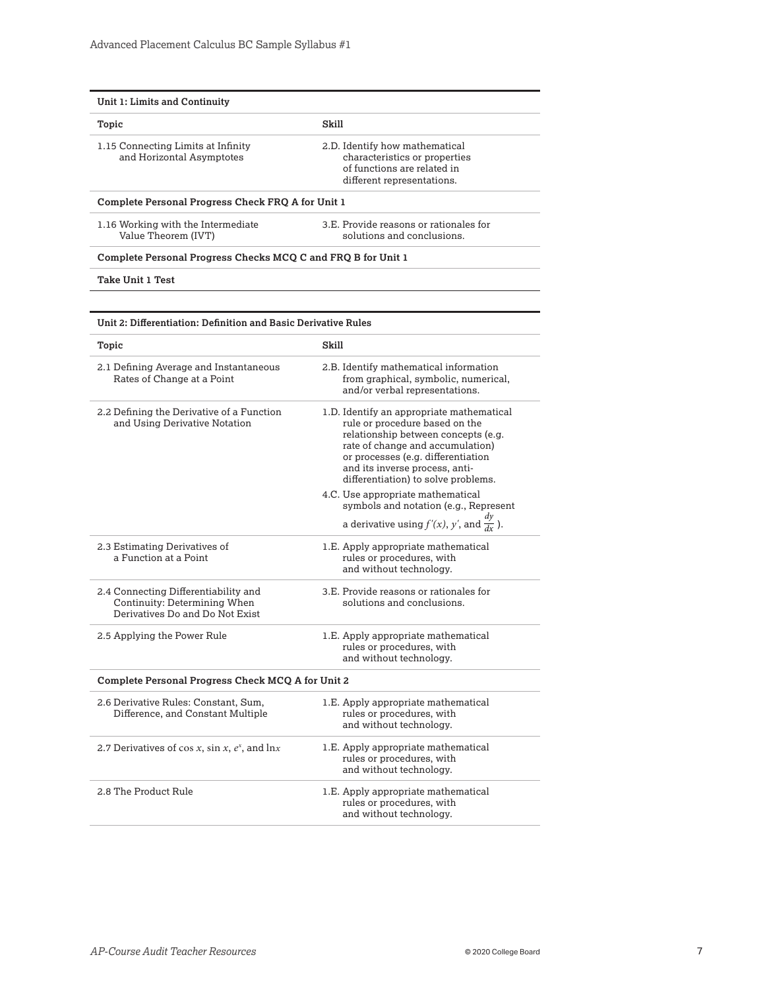| Unit 1: Limits and Continuity                                                                           |                                                                                                                                                                                                                                                                       |
|---------------------------------------------------------------------------------------------------------|-----------------------------------------------------------------------------------------------------------------------------------------------------------------------------------------------------------------------------------------------------------------------|
| Topic                                                                                                   | Skill                                                                                                                                                                                                                                                                 |
| 1.15 Connecting Limits at Infinity<br>and Horizontal Asymptotes                                         | 2.D. Identify how mathematical<br>characteristics or properties<br>of functions are related in<br>different representations.                                                                                                                                          |
| Complete Personal Progress Check FRQ A for Unit 1                                                       |                                                                                                                                                                                                                                                                       |
| 1.16 Working with the Intermediate<br>Value Theorem (IVT)                                               | 3.E. Provide reasons or rationales for<br>solutions and conclusions.                                                                                                                                                                                                  |
| Complete Personal Progress Checks MCQ C and FRQ B for Unit 1                                            |                                                                                                                                                                                                                                                                       |
| Take Unit 1 Test                                                                                        |                                                                                                                                                                                                                                                                       |
|                                                                                                         |                                                                                                                                                                                                                                                                       |
| Unit 2: Differentiation: Definition and Basic Derivative Rules                                          |                                                                                                                                                                                                                                                                       |
| Topic                                                                                                   | Skill                                                                                                                                                                                                                                                                 |
| 2.1 Defining Average and Instantaneous<br>Rates of Change at a Point                                    | 2.B. Identify mathematical information<br>from graphical, symbolic, numerical,<br>and/or verbal representations.                                                                                                                                                      |
| 2.2 Defining the Derivative of a Function<br>and Using Derivative Notation                              | 1.D. Identify an appropriate mathematical<br>rule or procedure based on the<br>relationship between concepts (e.g.<br>rate of change and accumulation)<br>or processes (e.g. differentiation<br>and its inverse process, anti-<br>differentiation) to solve problems. |
|                                                                                                         | 4.C. Use appropriate mathematical<br>symbols and notation (e.g., Represent<br>a derivative using $f'(x)$ , y', and $\frac{dy}{dx}$ ).                                                                                                                                 |
| 2.3 Estimating Derivatives of<br>a Function at a Point                                                  | 1.E. Apply appropriate mathematical<br>rules or procedures, with<br>and without technology.                                                                                                                                                                           |
| 2.4 Connecting Differentiability and<br>Continuity: Determining When<br>Derivatives Do and Do Not Exist | 3.E. Provide reasons or rationales for<br>solutions and conclusions.                                                                                                                                                                                                  |
| 2.5 Applying the Power Rule                                                                             | 1.E. Apply appropriate mathematical<br>rules or procedures, with<br>and without technology.                                                                                                                                                                           |
| Complete Personal Progress Check MCQ A for Unit 2                                                       |                                                                                                                                                                                                                                                                       |
| 2.6 Derivative Rules: Constant, Sum,<br>Difference, and Constant Multiple                               | 1.E. Apply appropriate mathematical<br>rules or procedures, with<br>and without technology.                                                                                                                                                                           |
| 2.7 Derivatives of cos x, sin x, $e^x$ , and lnx                                                        | 1.E. Apply appropriate mathematical<br>rules or procedures, with<br>and without technology.                                                                                                                                                                           |
| 2.8 The Product Rule                                                                                    | 1.E. Apply appropriate mathematical<br>rules or procedures, with<br>and without technology.                                                                                                                                                                           |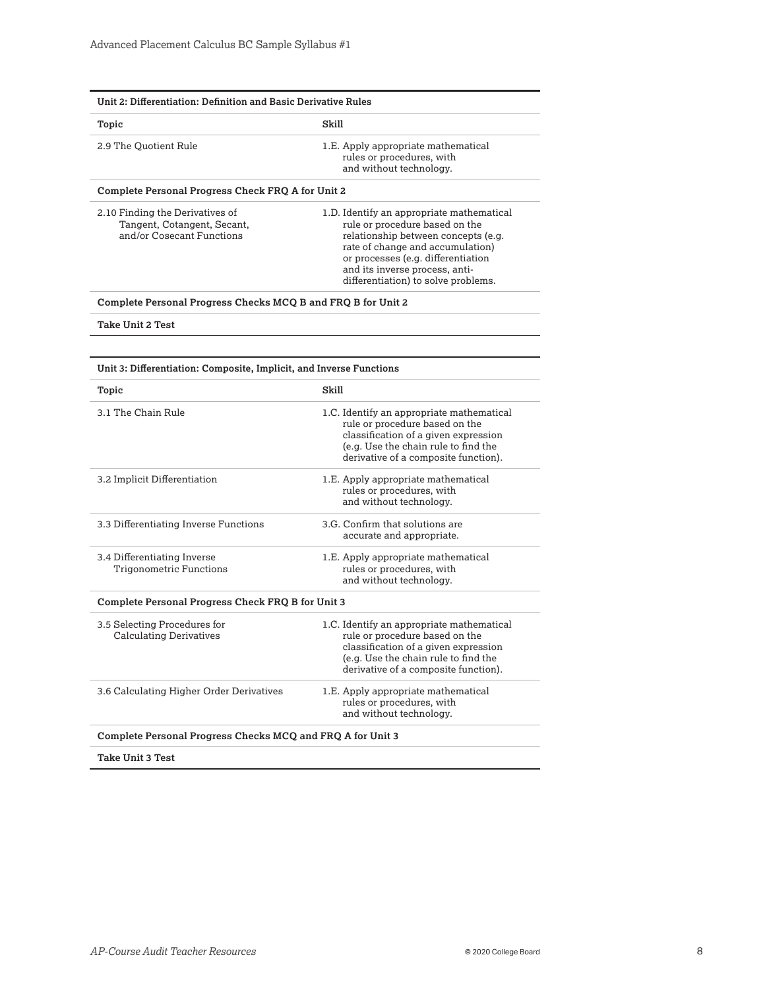| Unit 2: Differentiation: Definition and Basic Derivative Rules                              |                                                                                                                                                                                                                                                                       |  |
|---------------------------------------------------------------------------------------------|-----------------------------------------------------------------------------------------------------------------------------------------------------------------------------------------------------------------------------------------------------------------------|--|
| Topic                                                                                       | Skill                                                                                                                                                                                                                                                                 |  |
| 2.9 The Quotient Rule                                                                       | 1.E. Apply appropriate mathematical<br>rules or procedures, with<br>and without technology.                                                                                                                                                                           |  |
| Complete Personal Progress Check FRQ A for Unit 2                                           |                                                                                                                                                                                                                                                                       |  |
| 2.10 Finding the Derivatives of<br>Tangent, Cotangent, Secant,<br>and/or Cosecant Functions | 1.D. Identify an appropriate mathematical<br>rule or procedure based on the<br>relationship between concepts (e.g.<br>rate of change and accumulation)<br>or processes (e.g. differentiation<br>and its inverse process, anti-<br>differentiation) to solve problems. |  |
| Complete Personal Progress Checks MCQ B and FRQ B for Unit 2                                |                                                                                                                                                                                                                                                                       |  |
| Take Unit 2 Test                                                                            |                                                                                                                                                                                                                                                                       |  |
| Unit 3: Differentiation: Composite, Implicit, and Inverse Functions                         |                                                                                                                                                                                                                                                                       |  |
| Topic                                                                                       | Skill                                                                                                                                                                                                                                                                 |  |
| 3.1 The Chain Rule                                                                          | 1.C. Identify an appropriate mathematical<br>rule or procedure based on the<br>classification of a given expression<br>(e.g. Use the chain rule to find the<br>derivative of a composite function).                                                                   |  |
| 3.2 Implicit Differentiation                                                                | 1.E. Apply appropriate mathematical<br>rules or procedures, with<br>and without technology.                                                                                                                                                                           |  |
| 3.3 Differentiating Inverse Functions                                                       | 3.G. Confirm that solutions are<br>accurate and appropriate.                                                                                                                                                                                                          |  |
| 3.4 Differentiating Inverse<br><b>Trigonometric Functions</b>                               | 1.E. Apply appropriate mathematical<br>rules or procedures, with<br>and without technology.                                                                                                                                                                           |  |
| Complete Personal Progress Check FRQ B for Unit 3                                           |                                                                                                                                                                                                                                                                       |  |
| 3.5 Selecting Procedures for<br><b>Calculating Derivatives</b>                              | 1.C. Identify an appropriate mathematical<br>rule or procedure based on the<br>classification of a given expression<br>(e.g. Use the chain rule to find the<br>derivative of a composite function).                                                                   |  |
| 3.6 Calculating Higher Order Derivatives                                                    | 1.E. Apply appropriate mathematical<br>rules or procedures, with                                                                                                                                                                                                      |  |
|                                                                                             | and without technology.                                                                                                                                                                                                                                               |  |

**Take Unit 3 Test**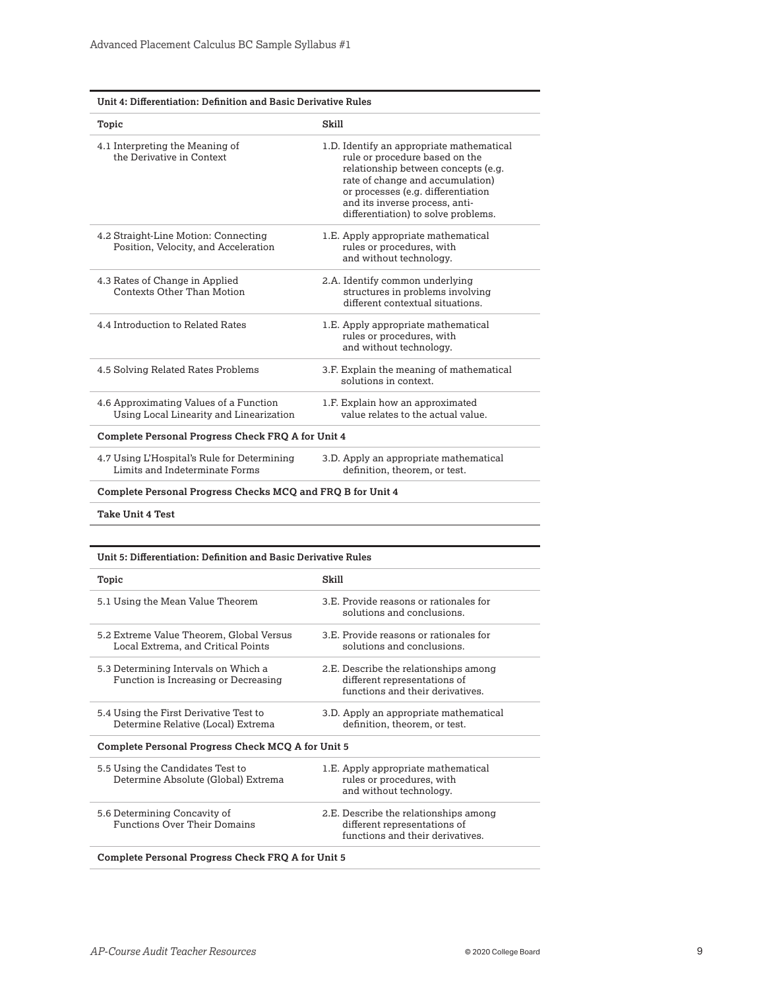| Unit 4: Differentiation: Definition and Basic Derivative Rules                    |                                                                                                                                                                                                                                                                       |  |
|-----------------------------------------------------------------------------------|-----------------------------------------------------------------------------------------------------------------------------------------------------------------------------------------------------------------------------------------------------------------------|--|
| Topic                                                                             | Skill                                                                                                                                                                                                                                                                 |  |
| 4.1 Interpreting the Meaning of<br>the Derivative in Context                      | 1.D. Identify an appropriate mathematical<br>rule or procedure based on the<br>relationship between concepts (e.g.<br>rate of change and accumulation)<br>or processes (e.g. differentiation<br>and its inverse process, anti-<br>differentiation) to solve problems. |  |
| 4.2 Straight-Line Motion: Connecting<br>Position, Velocity, and Acceleration      | 1.E. Apply appropriate mathematical<br>rules or procedures, with<br>and without technology.                                                                                                                                                                           |  |
| 4.3 Rates of Change in Applied<br>Contexts Other Than Motion                      | 2.A. Identify common underlying<br>structures in problems involving<br>different contextual situations.                                                                                                                                                               |  |
| 4.4 Introduction to Related Rates                                                 | 1.E. Apply appropriate mathematical<br>rules or procedures, with<br>and without technology.                                                                                                                                                                           |  |
| 4.5 Solving Related Rates Problems                                                | 3.F. Explain the meaning of mathematical<br>solutions in context.                                                                                                                                                                                                     |  |
| 4.6 Approximating Values of a Function<br>Using Local Linearity and Linearization | 1.F. Explain how an approximated<br>value relates to the actual value.                                                                                                                                                                                                |  |
| Complete Personal Progress Check FRQ A for Unit 4                                 |                                                                                                                                                                                                                                                                       |  |
| 4.7 Using L'Hospital's Rule for Determining<br>Limits and Indeterminate Forms     | 3.D. Apply an appropriate mathematical<br>definition, theorem, or test.                                                                                                                                                                                               |  |
| <b>Complete Personal Progress Checks MCQ and FRQ B for Unit 4</b>                 |                                                                                                                                                                                                                                                                       |  |
| <b>Take Unit 4 Test</b>                                                           |                                                                                                                                                                                                                                                                       |  |

| Unit 5: Differentiation: Definition and Basic Derivative Rules                 |                                                                                                           |  |
|--------------------------------------------------------------------------------|-----------------------------------------------------------------------------------------------------------|--|
| Topic                                                                          | Skill                                                                                                     |  |
| 5.1 Using the Mean Value Theorem                                               | 3.E. Provide reasons or rationales for<br>solutions and conclusions.                                      |  |
| 5.2 Extreme Value Theorem, Global Versus<br>Local Extrema, and Critical Points | 3.E. Provide reasons or rationales for<br>solutions and conclusions.                                      |  |
| 5.3 Determining Intervals on Which a<br>Function is Increasing or Decreasing   | 2.E. Describe the relationships among<br>different representations of<br>functions and their derivatives. |  |
| 5.4 Using the First Derivative Test to<br>Determine Relative (Local) Extrema   | 3.D. Apply an appropriate mathematical<br>definition, theorem, or test.                                   |  |
| Complete Personal Progress Check MCQ A for Unit 5                              |                                                                                                           |  |
| 5.5 Using the Candidates Test to<br>Determine Absolute (Global) Extrema        | 1.E. Apply appropriate mathematical<br>rules or procedures, with<br>and without technology.               |  |
| 5.6 Determining Concavity of<br><b>Functions Over Their Domains</b>            | 2.E. Describe the relationships among<br>different representations of<br>functions and their derivatives. |  |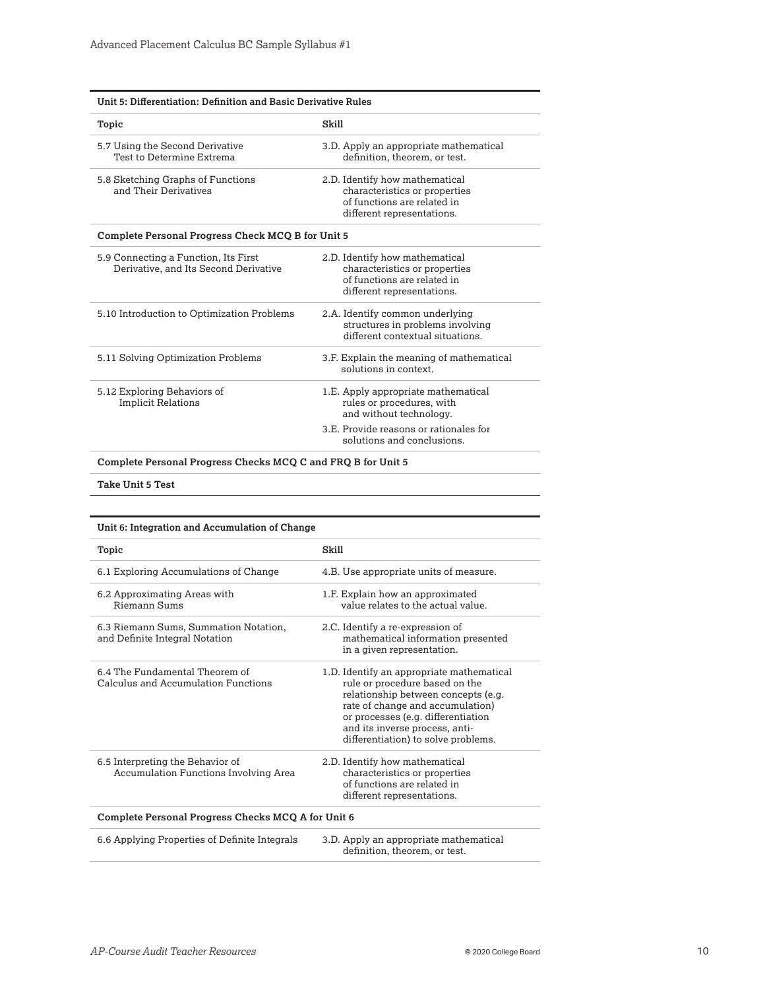| Unit 5: Differentiation: Definition and Basic Derivative Rules                |                                                                                                                              |
|-------------------------------------------------------------------------------|------------------------------------------------------------------------------------------------------------------------------|
| Skill<br>Topic                                                                |                                                                                                                              |
| 5.7 Using the Second Derivative<br>Test to Determine Extrema                  | 3.D. Apply an appropriate mathematical<br>definition, theorem, or test.                                                      |
| 5.8 Sketching Graphs of Functions<br>and Their Derivatives                    | 2.D. Identify how mathematical<br>characteristics or properties<br>of functions are related in<br>different representations. |
| Complete Personal Progress Check MCQ B for Unit 5                             |                                                                                                                              |
| 5.9 Connecting a Function, Its First<br>Derivative, and Its Second Derivative | 2.D. Identify how mathematical<br>characteristics or properties<br>of functions are related in<br>different representations. |
| 5.10 Introduction to Optimization Problems                                    | 2.A. Identify common underlying<br>structures in problems involving<br>different contextual situations.                      |
| 5.11 Solving Optimization Problems                                            | 3.F. Explain the meaning of mathematical<br>solutions in context.                                                            |
| 5.12 Exploring Behaviors of<br><b>Implicit Relations</b>                      | 1.E. Apply appropriate mathematical<br>rules or procedures, with<br>and without technology.                                  |
|                                                                               | 3.E. Provide reasons or rationales for<br>solutions and conclusions.                                                         |
|                                                                               |                                                                                                                              |

**Complete Personal Progress Checks MCQ C and FRQ B for Unit 5** 

**Take Unit 5 Test** 

| Unit 6: Integration and Accumulation of Change                                   |                                                                                                                                                                                                                                                                       |  |
|----------------------------------------------------------------------------------|-----------------------------------------------------------------------------------------------------------------------------------------------------------------------------------------------------------------------------------------------------------------------|--|
| Topic                                                                            | Skill                                                                                                                                                                                                                                                                 |  |
| 6.1 Exploring Accumulations of Change                                            | 4.B. Use appropriate units of measure.                                                                                                                                                                                                                                |  |
| 6.2 Approximating Areas with<br>Riemann Sums                                     | 1.F. Explain how an approximated<br>value relates to the actual value.                                                                                                                                                                                                |  |
| 6.3 Riemann Sums, Summation Notation,<br>and Definite Integral Notation          | 2.C. Identify a re-expression of<br>mathematical information presented<br>in a given representation.                                                                                                                                                                  |  |
| 6.4 The Fundamental Theorem of<br>Calculus and Accumulation Functions            | 1.D. Identify an appropriate mathematical<br>rule or procedure based on the<br>relationship between concepts (e.g.<br>rate of change and accumulation)<br>or processes (e.g. differentiation<br>and its inverse process, anti-<br>differentiation) to solve problems. |  |
| 6.5 Interpreting the Behavior of<br><b>Accumulation Functions Involving Area</b> | 2.D. Identify how mathematical<br>characteristics or properties<br>of functions are related in<br>different representations.                                                                                                                                          |  |
| Complete Personal Progress Checks MCQ A for Unit 6                               |                                                                                                                                                                                                                                                                       |  |
| 6.6 Applying Properties of Definite Integrals                                    | 3.D. Apply an appropriate mathematical<br>definition, theorem, or test.                                                                                                                                                                                               |  |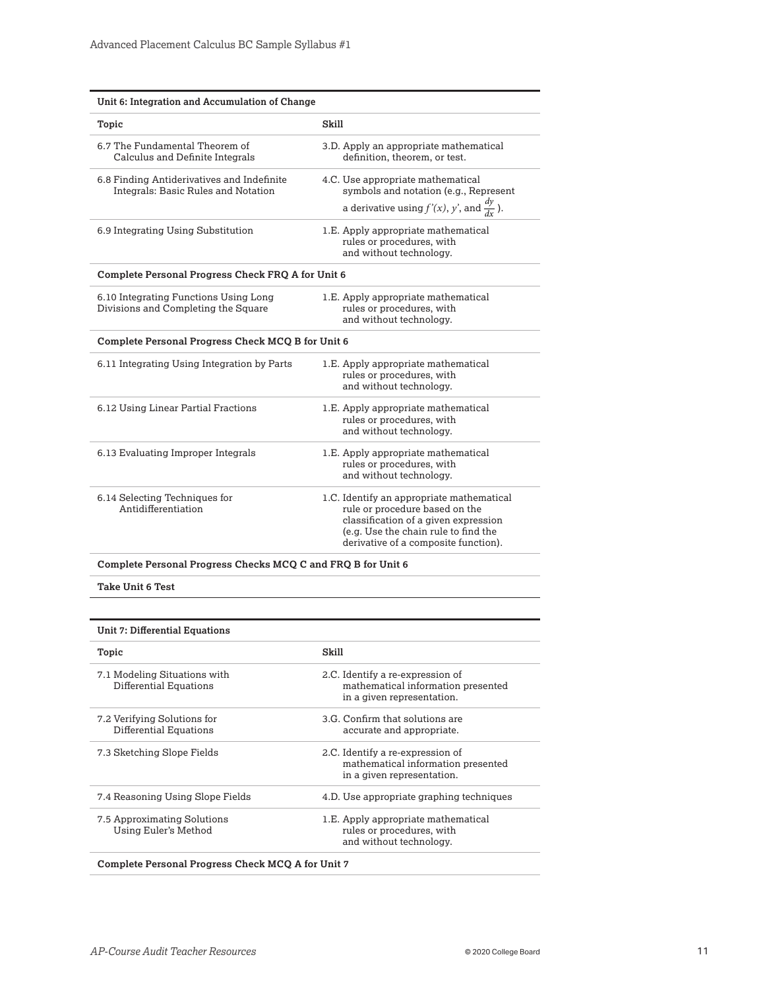| Unit 6: Integration and Accumulation of Change                                    |                                                                                                                                                                                                     |  |
|-----------------------------------------------------------------------------------|-----------------------------------------------------------------------------------------------------------------------------------------------------------------------------------------------------|--|
| Topic                                                                             | Skill                                                                                                                                                                                               |  |
| 6.7 The Fundamental Theorem of<br>Calculus and Definite Integrals                 | 3.D. Apply an appropriate mathematical<br>definition, theorem, or test.                                                                                                                             |  |
| 6.8 Finding Antiderivatives and Indefinite<br>Integrals: Basic Rules and Notation | 4.C. Use appropriate mathematical<br>symbols and notation (e.g., Represent<br>a derivative using $f'(x)$ , y', and $\frac{dy}{dx}$ ).                                                               |  |
| 6.9 Integrating Using Substitution                                                | 1.E. Apply appropriate mathematical<br>rules or procedures, with<br>and without technology.                                                                                                         |  |
| Complete Personal Progress Check FRQ A for Unit 6                                 |                                                                                                                                                                                                     |  |
| 6.10 Integrating Functions Using Long<br>Divisions and Completing the Square      | 1.E. Apply appropriate mathematical<br>rules or procedures, with<br>and without technology.                                                                                                         |  |
| Complete Personal Progress Check MCQ B for Unit 6                                 |                                                                                                                                                                                                     |  |
| 6.11 Integrating Using Integration by Parts                                       | 1.E. Apply appropriate mathematical<br>rules or procedures, with<br>and without technology.                                                                                                         |  |
| 6.12 Using Linear Partial Fractions                                               | 1.E. Apply appropriate mathematical<br>rules or procedures, with<br>and without technology.                                                                                                         |  |
| 6.13 Evaluating Improper Integrals                                                | 1.E. Apply appropriate mathematical<br>rules or procedures, with<br>and without technology.                                                                                                         |  |
| 6.14 Selecting Techniques for<br>Antidifferentiation                              | 1.C. Identify an appropriate mathematical<br>rule or procedure based on the<br>classification of a given expression<br>(e.g. Use the chain rule to find the<br>derivative of a composite function). |  |

**Complete Personal Progress Checks MCQ C and FRQ B for Unit 6** 

**Take Unit 6 Test** 

| Unit 7: Differential Equations                                                                       |  |
|------------------------------------------------------------------------------------------------------|--|
| Skill                                                                                                |  |
| 2.C. Identify a re-expression of<br>mathematical information presented<br>in a given representation. |  |
| 3.G. Confirm that solutions are<br>accurate and appropriate.                                         |  |
| 2.C. Identify a re-expression of<br>mathematical information presented<br>in a given representation. |  |
| 4.D. Use appropriate graphing techniques                                                             |  |
| 1.E. Apply appropriate mathematical<br>rules or procedures, with<br>and without technology.          |  |
|                                                                                                      |  |

**Complete Personal Progress Check MCQ A for Unit 7**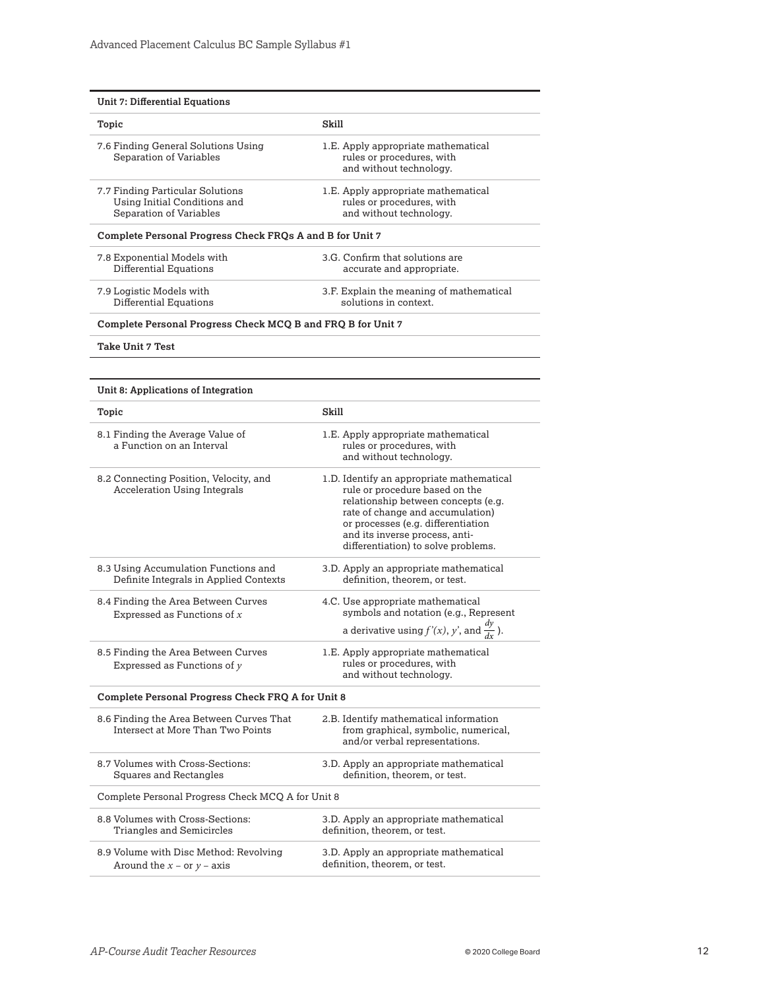| <b>Unit 7: Differential Equations</b>                                                       |                                                                                                                                                                                                                                                                       |
|---------------------------------------------------------------------------------------------|-----------------------------------------------------------------------------------------------------------------------------------------------------------------------------------------------------------------------------------------------------------------------|
| Topic                                                                                       | Skill                                                                                                                                                                                                                                                                 |
| 7.6 Finding General Solutions Using<br>Separation of Variables                              | 1.E. Apply appropriate mathematical<br>rules or procedures, with<br>and without technology.                                                                                                                                                                           |
| 7.7 Finding Particular Solutions<br>Using Initial Conditions and<br>Separation of Variables | 1.E. Apply appropriate mathematical<br>rules or procedures, with<br>and without technology.                                                                                                                                                                           |
| Complete Personal Progress Check FRQs A and B for Unit 7                                    |                                                                                                                                                                                                                                                                       |
| 7.8 Exponential Models with<br>Differential Equations                                       | 3.G. Confirm that solutions are<br>accurate and appropriate.                                                                                                                                                                                                          |
| 7.9 Logistic Models with<br>Differential Equations                                          | 3.F. Explain the meaning of mathematical<br>solutions in context.                                                                                                                                                                                                     |
| Complete Personal Progress Check MCQ B and FRQ B for Unit 7                                 |                                                                                                                                                                                                                                                                       |
| Take Unit 7 Test                                                                            |                                                                                                                                                                                                                                                                       |
|                                                                                             |                                                                                                                                                                                                                                                                       |
| Unit 8: Applications of Integration                                                         |                                                                                                                                                                                                                                                                       |
| Topic                                                                                       | Skill                                                                                                                                                                                                                                                                 |
| 8.1 Finding the Average Value of<br>a Function on an Interval                               | 1.E. Apply appropriate mathematical<br>rules or procedures, with<br>and without technology.                                                                                                                                                                           |
| 8.2 Connecting Position, Velocity, and<br><b>Acceleration Using Integrals</b>               | 1.D. Identify an appropriate mathematical<br>rule or procedure based on the<br>relationship between concepts (e.g.<br>rate of change and accumulation)<br>or processes (e.g. differentiation<br>and its inverse process, anti-<br>differentiation) to solve problems. |
| 8.3 Using Accumulation Functions and<br>Definite Integrals in Applied Contexts              | 3.D. Apply an appropriate mathematical<br>definition, theorem, or test.                                                                                                                                                                                               |
| 8.4 Finding the Area Between Curves<br>Expressed as Functions of $x$                        | 4.C. Use appropriate mathematical<br>symbols and notation (e.g., Represent<br>a derivative using $f'(x)$ , y', and $\frac{dy}{dx}$ ).                                                                                                                                 |
| 8.5 Finding the Area Between Curves<br>Expressed as Functions of $y$                        | 1.E. Apply appropriate mathematical<br>rules or procedures, with<br>and without technology.                                                                                                                                                                           |
| Complete Personal Progress Check FRQ A for Unit 8                                           |                                                                                                                                                                                                                                                                       |
| 8.6 Finding the Area Between Curves That<br>Intersect at More Than Two Points               | 2.B. Identify mathematical information<br>from graphical, symbolic, numerical,<br>and/or verbal representations.                                                                                                                                                      |
| 8.7 Volumes with Cross-Sections:<br><b>Squares and Rectangles</b>                           | 3.D. Apply an appropriate mathematical<br>definition, theorem, or test.                                                                                                                                                                                               |
| Complete Personal Progress Check MCQ A for Unit 8                                           |                                                                                                                                                                                                                                                                       |
| 8.8 Volumes with Cross-Sections:<br>Triangles and Semicircles                               | 3.D. Apply an appropriate mathematical<br>definition, theorem, or test.                                                                                                                                                                                               |
| 8.9 Volume with Disc Method: Revolving<br>Around the $x -$ or $y -$ axis                    | 3.D. Apply an appropriate mathematical<br>definition, theorem, or test.                                                                                                                                                                                               |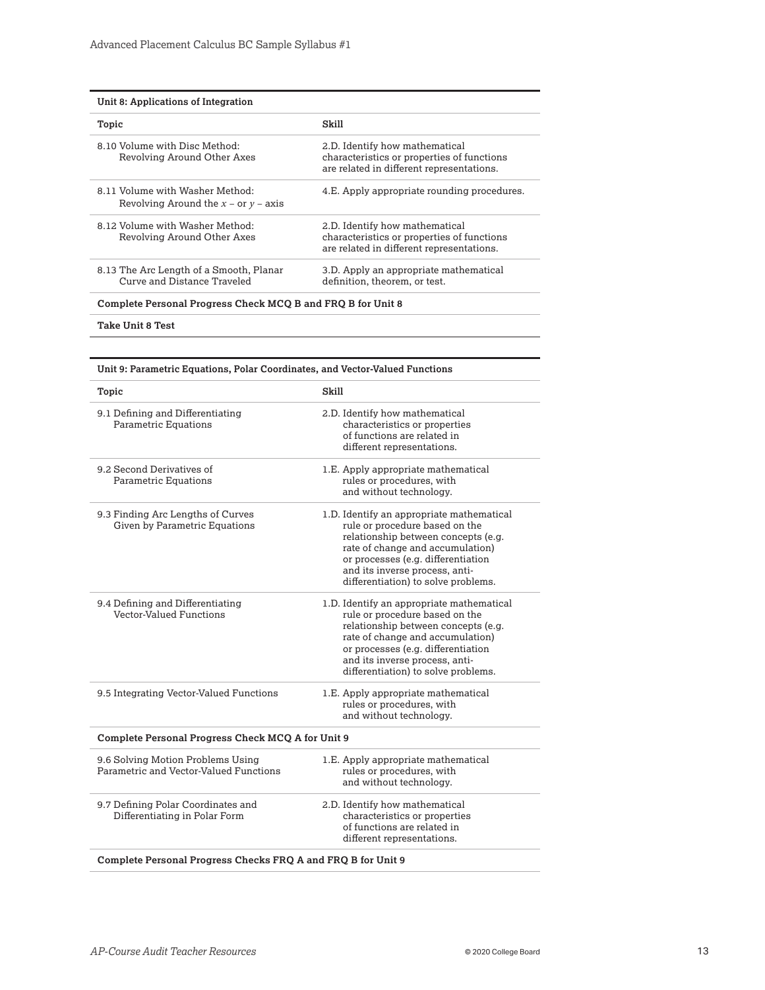| Unit 8: Applications of Integration                                         |                                                                                                                           |  |
|-----------------------------------------------------------------------------|---------------------------------------------------------------------------------------------------------------------------|--|
| Topic                                                                       | Skill                                                                                                                     |  |
| 8.10 Volume with Disc Method:<br>Revolving Around Other Axes                | 2.D. Identify how mathematical<br>characteristics or properties of functions<br>are related in different representations. |  |
| 8.11 Volume with Washer Method:<br>Revolving Around the $x$ – or $y$ – axis | 4.E. Apply appropriate rounding procedures.                                                                               |  |
| 8.12 Volume with Washer Method:<br>Revolving Around Other Axes              | 2.D. Identify how mathematical<br>characteristics or properties of functions<br>are related in different representations. |  |
| 8.13 The Arc Length of a Smooth, Planar<br>Curve and Distance Traveled      | 3.D. Apply an appropriate mathematical<br>definition, theorem, or test.                                                   |  |
| Complete Personal Progress Check MCQ B and FRQ B for Unit 8                 |                                                                                                                           |  |

**Take Unit 8 Test** 

| Unit 9: Parametric Equations, Polar Coordinates, and Vector-Valued Functions |                                                                                                                                                                                                                                                                       |  |
|------------------------------------------------------------------------------|-----------------------------------------------------------------------------------------------------------------------------------------------------------------------------------------------------------------------------------------------------------------------|--|
| Topic                                                                        | Skill                                                                                                                                                                                                                                                                 |  |
| 9.1 Defining and Differentiating<br><b>Parametric Equations</b>              | 2.D. Identify how mathematical<br>characteristics or properties<br>of functions are related in<br>different representations.                                                                                                                                          |  |
| 9.2 Second Derivatives of<br><b>Parametric Equations</b>                     | 1.E. Apply appropriate mathematical<br>rules or procedures, with<br>and without technology.                                                                                                                                                                           |  |
| 9.3 Finding Arc Lengths of Curves<br>Given by Parametric Equations           | 1.D. Identify an appropriate mathematical<br>rule or procedure based on the<br>relationship between concepts (e.g.<br>rate of change and accumulation)<br>or processes (e.g. differentiation<br>and its inverse process, anti-<br>differentiation) to solve problems. |  |
| 9.4 Defining and Differentiating<br>Vector-Valued Functions                  | 1.D. Identify an appropriate mathematical<br>rule or procedure based on the<br>relationship between concepts (e.g.<br>rate of change and accumulation)<br>or processes (e.g. differentiation<br>and its inverse process, anti-<br>differentiation) to solve problems. |  |
| 9.5 Integrating Vector-Valued Functions                                      | 1.E. Apply appropriate mathematical<br>rules or procedures, with<br>and without technology.                                                                                                                                                                           |  |
| Complete Personal Progress Check MCQ A for Unit 9                            |                                                                                                                                                                                                                                                                       |  |
| 9.6 Solving Motion Problems Using<br>Parametric and Vector-Valued Functions  | 1.E. Apply appropriate mathematical<br>rules or procedures, with<br>and without technology.                                                                                                                                                                           |  |
| 9.7 Defining Polar Coordinates and<br>Differentiating in Polar Form          | 2.D. Identify how mathematical<br>characteristics or properties<br>of functions are related in<br>different representations.                                                                                                                                          |  |
| Complete Personal Progress Checks FRQ A and FRQ B for Unit 9                 |                                                                                                                                                                                                                                                                       |  |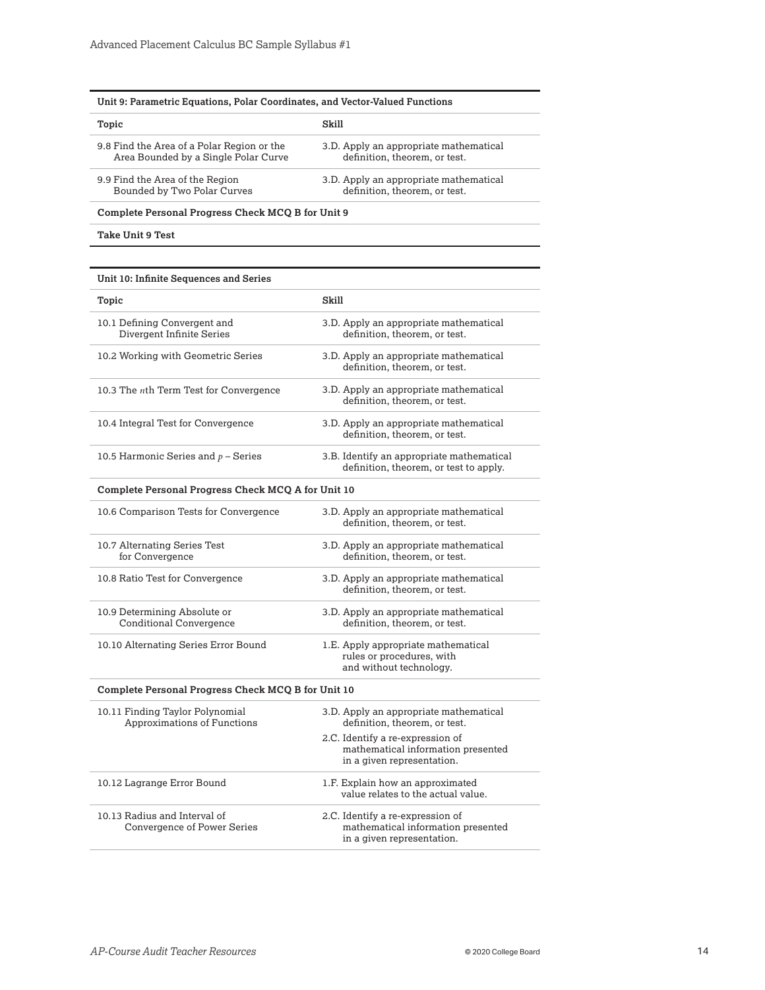| Topic                                      | Skill                                  |
|--------------------------------------------|----------------------------------------|
| 9.8 Find the Area of a Polar Region or the | 3.D. Apply an appropriate mathematical |
| Area Bounded by a Single Polar Curve       | definition, theorem, or test.          |
| 9.9 Find the Area of the Region            | 3.D. Apply an appropriate mathematical |
| Bounded by Two Polar Curves                | definition, theorem, or test.          |

**Complete Personal Progress Check MCQ B for Unit 9** 

**Take Unit 9 Test** 

| Unit 10: Infinite Sequences and Series                             |                                                                                                      |
|--------------------------------------------------------------------|------------------------------------------------------------------------------------------------------|
| Topic                                                              | Skill                                                                                                |
| 10.1 Defining Convergent and<br>Divergent Infinite Series          | 3.D. Apply an appropriate mathematical<br>definition, theorem, or test.                              |
| 10.2 Working with Geometric Series                                 | 3.D. Apply an appropriate mathematical<br>definition, theorem, or test.                              |
| 10.3 The nth Term Test for Convergence                             | 3.D. Apply an appropriate mathematical<br>definition, theorem, or test.                              |
| 10.4 Integral Test for Convergence                                 | 3.D. Apply an appropriate mathematical<br>definition, theorem, or test.                              |
| 10.5 Harmonic Series and $p$ – Series                              | 3.B. Identify an appropriate mathematical<br>definition, theorem, or test to apply.                  |
| Complete Personal Progress Check MCQ A for Unit 10                 |                                                                                                      |
| 10.6 Comparison Tests for Convergence                              | 3.D. Apply an appropriate mathematical<br>definition, theorem, or test.                              |
| 10.7 Alternating Series Test<br>for Convergence                    | 3.D. Apply an appropriate mathematical<br>definition, theorem, or test.                              |
| 10.8 Ratio Test for Convergence                                    | 3.D. Apply an appropriate mathematical<br>definition, theorem, or test.                              |
| 10.9 Determining Absolute or<br>Conditional Convergence            | 3.D. Apply an appropriate mathematical<br>definition, theorem, or test.                              |
| 10.10 Alternating Series Error Bound                               | 1.E. Apply appropriate mathematical<br>rules or procedures, with<br>and without technology.          |
| Complete Personal Progress Check MCQ B for Unit 10                 |                                                                                                      |
| 10.11 Finding Taylor Polynomial<br>Approximations of Functions     | 3.D. Apply an appropriate mathematical<br>definition, theorem, or test.                              |
|                                                                    | 2.C. Identify a re-expression of<br>mathematical information presented<br>in a given representation. |
| 10.12 Lagrange Error Bound                                         | 1.F. Explain how an approximated<br>value relates to the actual value.                               |
| 10.13 Radius and Interval of<br><b>Convergence of Power Series</b> | 2.C. Identify a re-expression of<br>mathematical information presented<br>in a given representation. |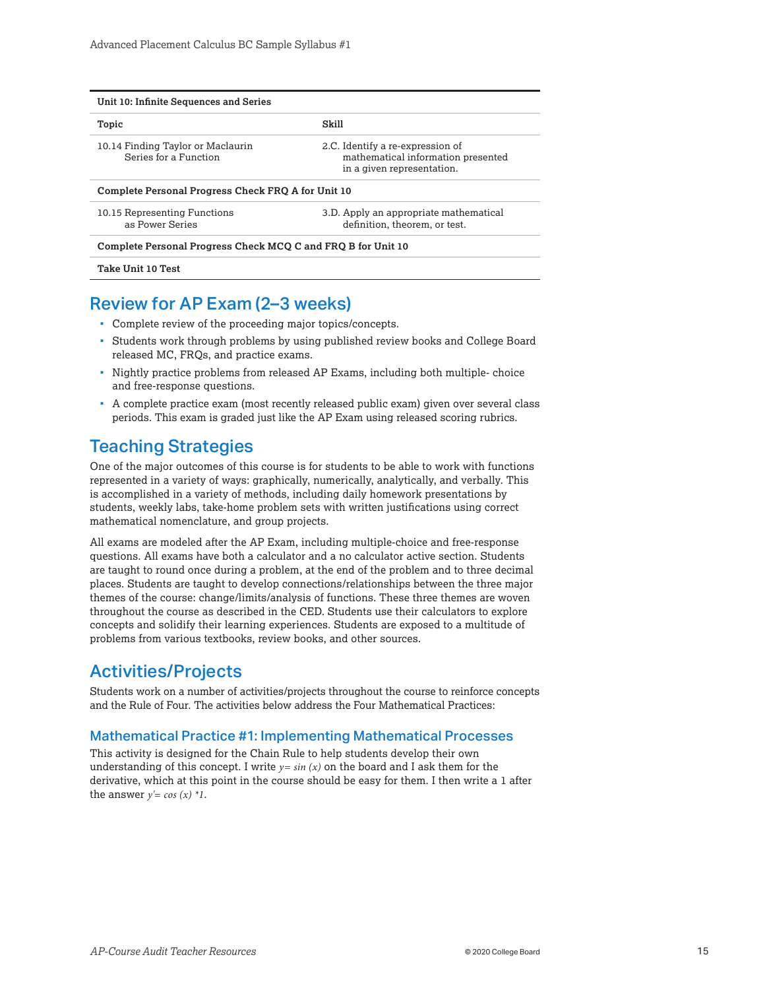| Unit 10: Infinite Sequences and Series                       |                                                                                                      |
|--------------------------------------------------------------|------------------------------------------------------------------------------------------------------|
| Topic                                                        | Skill                                                                                                |
| 10.14 Finding Taylor or Maclaurin<br>Series for a Function   | 2.C. Identify a re-expression of<br>mathematical information presented<br>in a given representation. |
| Complete Personal Progress Check FRQ A for Unit 10           |                                                                                                      |
| 10.15 Representing Functions<br>as Power Series              | 3.D. Apply an appropriate mathematical<br>definition, theorem, or test.                              |
| Complete Personal Progress Check MCQ C and FRQ B for Unit 10 |                                                                                                      |
| Take Unit 10 Test                                            |                                                                                                      |

## Review for AP Exam (2–3 weeks)

- Complete review of the proceeding major topics/concepts.
- Students work through problems by using published review books and College Board released MC, FRQs, and practice exams.
- Nightly practice problems from released AP Exams, including both multiple- choice and free-response questions.
- A complete practice exam (most recently released public exam) given over several class periods. This exam is graded just like the AP Exam using released scoring rubrics.

## Teaching Strategies

One of the major outcomes of this course is for students to be able to work with functions represented in a variety of ways: graphically, numerically, analytically, and verbally. This is accomplished in a variety of methods, including daily homework presentations by students, weekly labs, take-home problem sets with written justifications using correct mathematical nomenclature, and group projects.

All exams are modeled after the AP Exam, including multiple-choice and free-response questions. All exams have both a calculator and a no calculator active section. Students are taught to round once during a problem, at the end of the problem and to three decimal places. Students are taught to develop connections/relationships between the three major themes of the course: change/limits/analysis of functions. These three themes are woven throughout the course as described in the CED. Students use their calculators to explore concepts and solidify their learning experiences. Students are exposed to a multitude of problems from various textbooks, review books, and other sources.

## Activities/Projects

Students work on a number of activities/projects throughout the course to reinforce concepts and the Rule of Four. The activities below address the Four Mathematical Practices:

## Mathematical Practice #1: Implementing Mathematical Processes

This activity is designed for the Chain Rule to help students develop their own understanding of this concept. I write  $y = sin(x)$  on the board and I ask them for the derivative, which at this point in the course should be easy for them. I then write a 1 after the answer  $y' = cos(x) *1$ .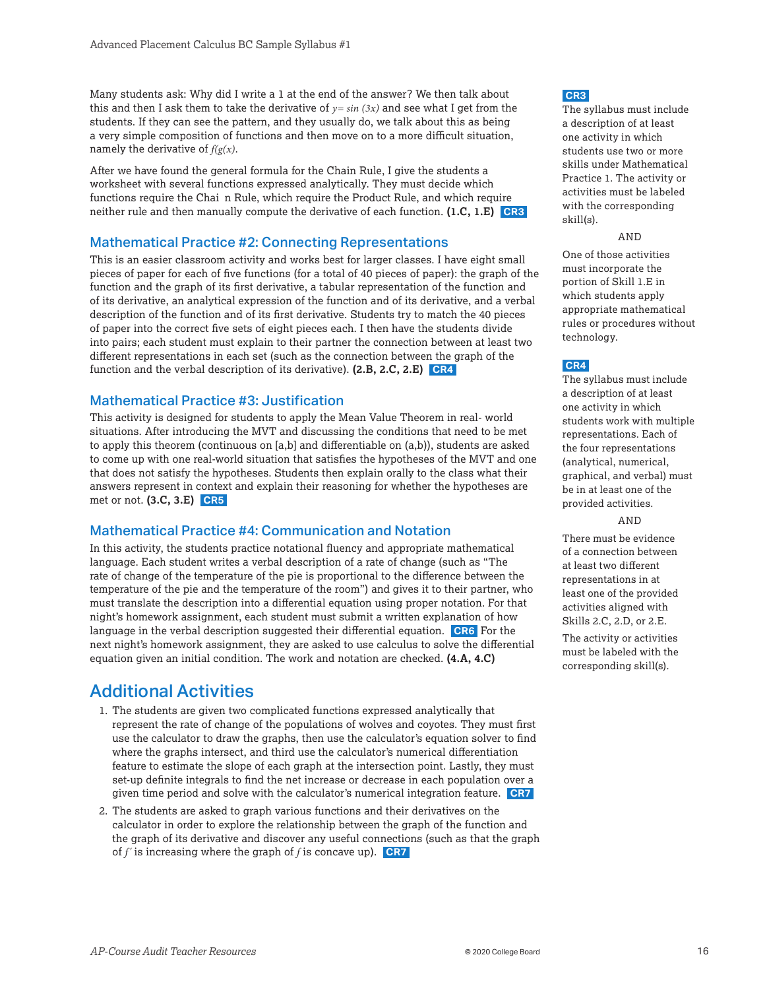<span id="page-15-0"></span>Many students ask: Why did I write a 1 at the end of the answer? We then talk about this and then I ask them to take the derivative of  $y=sin(3x)$  and see what I get from the students. If they can see the pattern, and they usually do, we talk about this as being a very simple composition of functions and then move on to a more difficult situation, namely the derivative of *f(g(x)*.

After we have found the general formula for the Chain Rule, I give the students a worksheet with several functions expressed analytically. They must decide which functions require the Chai n Rule, which require the Product Rule, and which require neither rule and then manually compute the derivative of each function. **(1.C, 1.E) CR3** 

#### Mathematical Practice #2: Connecting Representations

This is an easier classroom activity and works best for larger classes. I have eight small pieces of paper for each of five functions (for a total of 40 pieces of paper): the graph of the function and the graph of its first derivative, a tabular representation of the function and of its derivative, an analytical expression of the function and of its derivative, and a verbal description of the function and of its first derivative. Students try to match the 40 pieces of paper into the correct five sets of eight pieces each. I then have the students divide into pairs; each student must explain to their partner the connection between at least two different representations in each set (such as the connection between the graph of the function and the verbal description of its derivative). **(2.B, 2.C, 2.E) CR4** 

### Mathematical Practice #3: Justification

This activity is designed for students to apply the Mean Value Theorem in real- world situations. After introducing the MVT and discussing the conditions that need to be met to apply this theorem (continuous on  $[a,b]$  and differentiable on  $(a,b)$ ), students are asked to come up with one real-world situation that satisfies the hypotheses of the MVT and one that does not satisfy the hypotheses. Students then explain orally to the class what their answers represent in context and explain their reasoning for whether the hypotheses are met or not. **(3.C, 3.E) CR5** 

#### Mathematical Practice #4: Communication and Notation

In this activity, the students practice notational fluency and appropriate mathematical language. Each student writes a verbal description of a rate of change (such as "The rate of change of the temperature of the pie is proportional to the difference between the temperature of the pie and the temperature of the room") and gives it to their partner, who must translate the description into a differential equation using proper notation. For that night's homework assignment, each student must submit a written explanation of how language in the verbal description suggested their differential equation. **CR6** For the next night's homework assignment, they are asked to use calculus to solve the differential equation given an initial condition. The work and notation are checked. **(4.A, 4.C)**

## Additional Activities

- 1. The students are given two complicated functions expressed analytically that represent the rate of change of the populations of wolves and coyotes. They must first use the calculator to draw the graphs, then use the calculator's equation solver to find where the graphs intersect, and third use the calculator's numerical differentiation feature to estimate the slope of each graph at the intersection point. Lastly, they must set-up definite integrals to find the net increase or decrease in each population over a given time period and solve with the calculator's numerical integration feature. **CR7**
- 2. The students are asked to graph various functions and their derivatives on the calculator in order to explore the relationship between the graph of the function and the graph of its derivative and discover any useful connections (such as that the graph of *f '* is increasing where the graph of *f* is concave up). **CR7**

#### **CR3**

The syllabus must include a description of at least one activity in which students use two or more skills under Mathematical Practice 1. The activity or activities must be labeled with the corresponding skill(s).

#### AND

One of those activities must incorporate the portion of Skill 1.E in which students apply appropriate mathematical rules or procedures without technology.

#### **CR4**

The syllabus must include a description of at least one activity in which students work with multiple representations. Each of the four representations (analytical, numerical, graphical, and verbal) must be in at least one of the provided activities.

AND

There must be evidence of a connection between at least two different representations in at least one of the provided activities aligned with Skills 2.C, 2.D, or 2.E.

The activity or activities must be labeled with the corresponding skill(s).